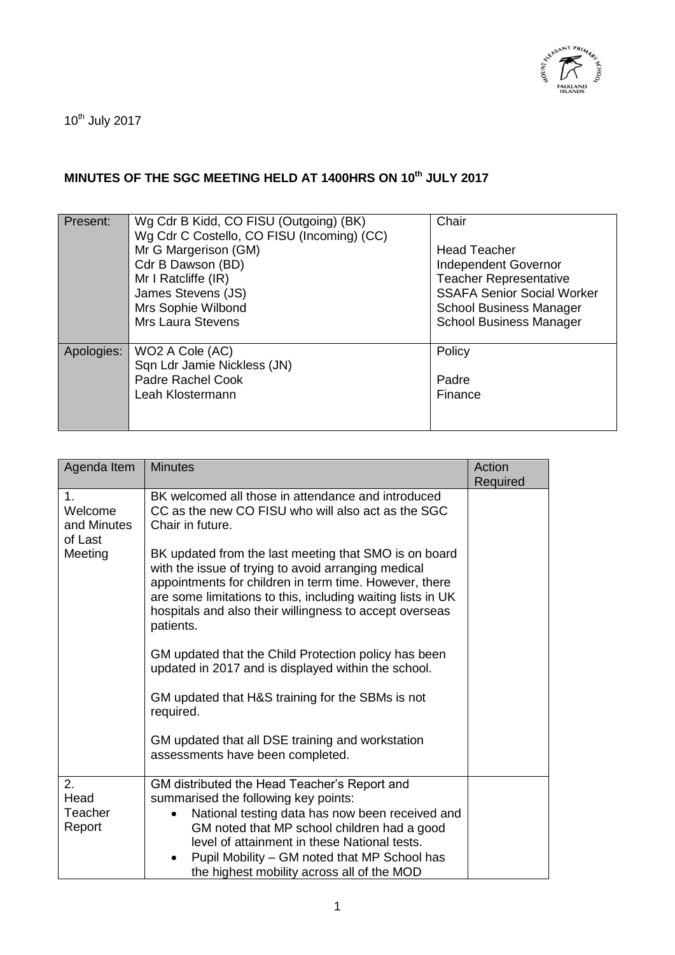

 $10^{th}$  July 2017

## **MINUTES OF THE SGC MEETING HELD AT 1400HRS ON 10th JULY 2017**

| Present:   | Wg Cdr B Kidd, CO FISU (Outgoing) (BK)<br>Wg Cdr C Costello, CO FISU (Incoming) (CC)<br>Mr G Margerison (GM)<br>Cdr B Dawson (BD)<br>Mr I Ratcliffe (IR)<br>James Stevens (JS)<br>Mrs Sophie Wilbond<br><b>Mrs Laura Stevens</b> | Chair<br><b>Head Teacher</b><br>Independent Governor<br><b>Teacher Representative</b><br><b>SSAFA Senior Social Worker</b><br><b>School Business Manager</b><br><b>School Business Manager</b> |
|------------|----------------------------------------------------------------------------------------------------------------------------------------------------------------------------------------------------------------------------------|------------------------------------------------------------------------------------------------------------------------------------------------------------------------------------------------|
| Apologies: | WO2 A Cole (AC)<br>Sqn Ldr Jamie Nickless (JN)<br>Padre Rachel Cook<br>Leah Klostermann                                                                                                                                          | Policy<br>Padre<br>Finance                                                                                                                                                                     |

| Agenda Item                                        | <b>Minutes</b>                                                                                                                                                                                                                                                                                                                       | Action<br>Required |
|----------------------------------------------------|--------------------------------------------------------------------------------------------------------------------------------------------------------------------------------------------------------------------------------------------------------------------------------------------------------------------------------------|--------------------|
| 1.<br>Welcome<br>and Minutes<br>of Last<br>Meeting | BK welcomed all those in attendance and introduced<br>CC as the new CO FISU who will also act as the SGC<br>Chair in future.                                                                                                                                                                                                         |                    |
|                                                    | BK updated from the last meeting that SMO is on board<br>with the issue of trying to avoid arranging medical<br>appointments for children in term time. However, there<br>are some limitations to this, including waiting lists in UK<br>hospitals and also their willingness to accept overseas<br>patients.                        |                    |
|                                                    | GM updated that the Child Protection policy has been<br>updated in 2017 and is displayed within the school.                                                                                                                                                                                                                          |                    |
|                                                    | GM updated that H&S training for the SBMs is not<br>required.                                                                                                                                                                                                                                                                        |                    |
|                                                    | GM updated that all DSE training and workstation<br>assessments have been completed.                                                                                                                                                                                                                                                 |                    |
| 2.<br>Head<br>Teacher<br>Report                    | GM distributed the Head Teacher's Report and<br>summarised the following key points:<br>National testing data has now been received and<br>GM noted that MP school children had a good<br>level of attainment in these National tests.<br>Pupil Mobility - GM noted that MP School has<br>the highest mobility across all of the MOD |                    |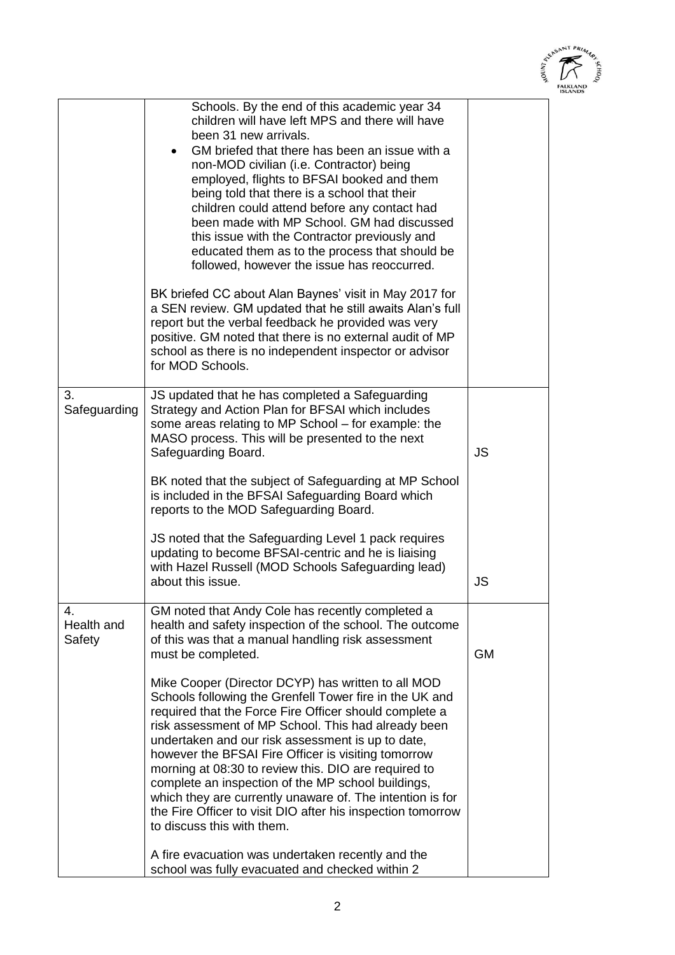

| Schools. By the end of this academic year 34<br>children will have left MPS and there will have<br>been 31 new arrivals.<br>GM briefed that there has been an issue with a<br>non-MOD civilian (i.e. Contractor) being<br>employed, flights to BFSAI booked and them<br>being told that there is a school that their<br>children could attend before any contact had<br>been made with MP School. GM had discussed<br>this issue with the Contractor previously and<br>educated them as to the process that should be<br>followed, however the issue has reoccurred.<br>BK briefed CC about Alan Baynes' visit in May 2017 for<br>a SEN review. GM updated that he still awaits Alan's full<br>report but the verbal feedback he provided was very<br>positive. GM noted that there is no external audit of MP<br>school as there is no independent inspector or advisor<br>for MOD Schools.<br>3.<br>JS updated that he has completed a Safeguarding<br>Safeguarding<br>Strategy and Action Plan for BFSAI which includes<br>some areas relating to MP School - for example: the<br>MASO process. This will be presented to the next<br>JS<br>Safeguarding Board.<br>BK noted that the subject of Safeguarding at MP School<br>is included in the BFSAI Safeguarding Board which<br>reports to the MOD Safeguarding Board.<br>JS noted that the Safeguarding Level 1 pack requires<br>updating to become BFSAI-centric and he is liaising<br>with Hazel Russell (MOD Schools Safeguarding lead)<br>about this issue.<br>JS<br>GM noted that Andy Cole has recently completed a<br>$\mathbf{4}$ .<br>health and safety inspection of the school. The outcome<br>Health and<br>Safety<br>of this was that a manual handling risk assessment<br><b>GM</b><br>must be completed.<br>Mike Cooper (Director DCYP) has written to all MOD<br>Schools following the Grenfell Tower fire in the UK and<br>required that the Force Fire Officer should complete a<br>risk assessment of MP School. This had already been<br>undertaken and our risk assessment is up to date,<br>however the BFSAI Fire Officer is visiting tomorrow<br>morning at 08:30 to review this. DIO are required to<br>complete an inspection of the MP school buildings,<br>which they are currently unaware of. The intention is for<br>the Fire Officer to visit DIO after his inspection tomorrow<br>to discuss this with them. |  |  |
|-----------------------------------------------------------------------------------------------------------------------------------------------------------------------------------------------------------------------------------------------------------------------------------------------------------------------------------------------------------------------------------------------------------------------------------------------------------------------------------------------------------------------------------------------------------------------------------------------------------------------------------------------------------------------------------------------------------------------------------------------------------------------------------------------------------------------------------------------------------------------------------------------------------------------------------------------------------------------------------------------------------------------------------------------------------------------------------------------------------------------------------------------------------------------------------------------------------------------------------------------------------------------------------------------------------------------------------------------------------------------------------------------------------------------------------------------------------------------------------------------------------------------------------------------------------------------------------------------------------------------------------------------------------------------------------------------------------------------------------------------------------------------------------------------------------------------------------------------------------------------------------------------------------------------------------------------------------------------------------------------------------------------------------------------------------------------------------------------------------------------------------------------------------------------------------------------------------------------------------------------------------------------------------------------------------------------------------------------------------------------------------------------------|--|--|
|                                                                                                                                                                                                                                                                                                                                                                                                                                                                                                                                                                                                                                                                                                                                                                                                                                                                                                                                                                                                                                                                                                                                                                                                                                                                                                                                                                                                                                                                                                                                                                                                                                                                                                                                                                                                                                                                                                                                                                                                                                                                                                                                                                                                                                                                                                                                                                                                     |  |  |
|                                                                                                                                                                                                                                                                                                                                                                                                                                                                                                                                                                                                                                                                                                                                                                                                                                                                                                                                                                                                                                                                                                                                                                                                                                                                                                                                                                                                                                                                                                                                                                                                                                                                                                                                                                                                                                                                                                                                                                                                                                                                                                                                                                                                                                                                                                                                                                                                     |  |  |
|                                                                                                                                                                                                                                                                                                                                                                                                                                                                                                                                                                                                                                                                                                                                                                                                                                                                                                                                                                                                                                                                                                                                                                                                                                                                                                                                                                                                                                                                                                                                                                                                                                                                                                                                                                                                                                                                                                                                                                                                                                                                                                                                                                                                                                                                                                                                                                                                     |  |  |
| A fire evacuation was undertaken recently and the<br>school was fully evacuated and checked within 2                                                                                                                                                                                                                                                                                                                                                                                                                                                                                                                                                                                                                                                                                                                                                                                                                                                                                                                                                                                                                                                                                                                                                                                                                                                                                                                                                                                                                                                                                                                                                                                                                                                                                                                                                                                                                                                                                                                                                                                                                                                                                                                                                                                                                                                                                                |  |  |